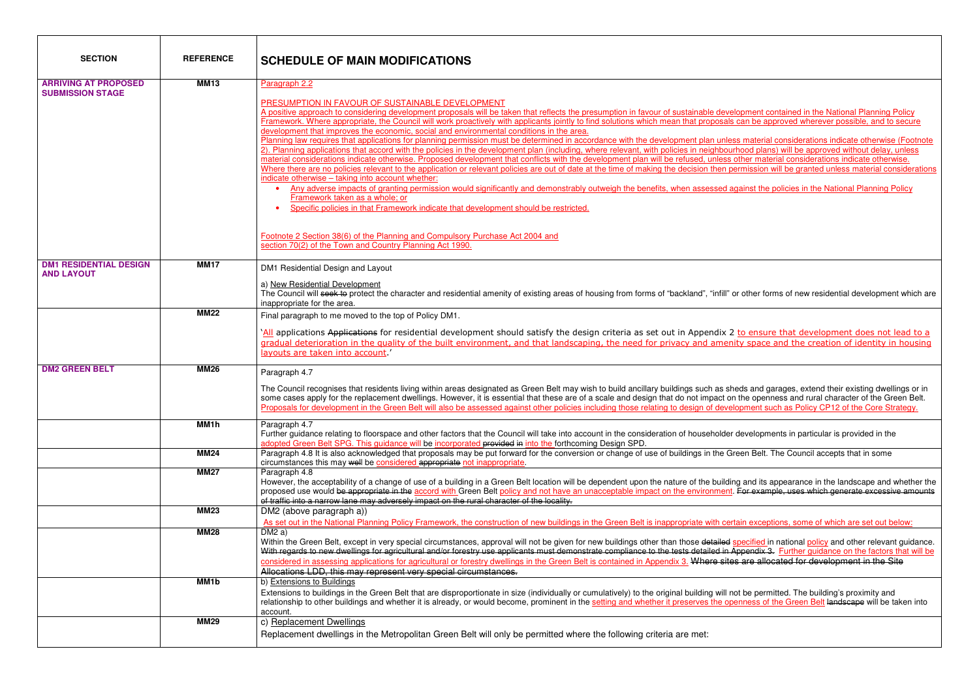| <b>SECTION</b>                | <b>REFERENCE</b>  | <b>SCHEDULE OF MAIN MODIFICATIONS</b>                                                                                                                                                                                                                                                                                                                                                |
|-------------------------------|-------------------|--------------------------------------------------------------------------------------------------------------------------------------------------------------------------------------------------------------------------------------------------------------------------------------------------------------------------------------------------------------------------------------|
| <b>ARRIVING AT PROPOSED</b>   | <b>MM13</b>       | Paragraph 2.2                                                                                                                                                                                                                                                                                                                                                                        |
| <b>SUBMISSION STAGE</b>       |                   | PRESUMPTION IN FAVOUR OF SUSTAINABLE DEVELOPMENT                                                                                                                                                                                                                                                                                                                                     |
|                               |                   | A positive approach to considering development proposals will be taken that reflects the presumption in favour of sustainable development contained in the National Planning Policy                                                                                                                                                                                                  |
|                               |                   | Framework. Where appropriate, the Council will work proactively with applicants jointly to find solutions which mean that proposals can be approved wherever possible, and to secure                                                                                                                                                                                                 |
|                               |                   | development that improves the economic, social and environmental conditions in the area.                                                                                                                                                                                                                                                                                             |
|                               |                   | Planning law requires that applications for planning permission must be determined in accordance with the development plan unless material considerations indicate otherwise (Footnote<br>2). Planning applications that accord with the policies in the development plan (including, where relevant, with policies in neighbourhood plans) will be approved without delay, unless   |
|                               |                   | material considerations indicate otherwise. Proposed development that conflicts with the development plan will be refused, unless other material considerations indicate otherwise.                                                                                                                                                                                                  |
|                               |                   | Where there are no policies relevant to the application or relevant policies are out of date at the time of making the decision then permission will be granted unless material considerations                                                                                                                                                                                       |
|                               |                   | indicate otherwise - taking into account whether:                                                                                                                                                                                                                                                                                                                                    |
|                               |                   | Any adverse impacts of granting permission would significantly and demonstrably outweigh the benefits, when assessed against the policies in the National Planning Policy<br>Framework taken as a whole; or                                                                                                                                                                          |
|                               |                   | Specific policies in that Framework indicate that development should be restricted.                                                                                                                                                                                                                                                                                                  |
|                               |                   |                                                                                                                                                                                                                                                                                                                                                                                      |
|                               |                   |                                                                                                                                                                                                                                                                                                                                                                                      |
|                               |                   | Footnote 2 Section 38(6) of the Planning and Compulsory Purchase Act 2004 and<br>section 70(2) of the Town and Country Planning Act 1990.                                                                                                                                                                                                                                            |
|                               |                   |                                                                                                                                                                                                                                                                                                                                                                                      |
| <b>DM1 RESIDENTIAL DESIGN</b> | <b>MM17</b>       | DM1 Residential Design and Layout                                                                                                                                                                                                                                                                                                                                                    |
| <b>AND LAYOUT</b>             |                   | a) New Residential Development                                                                                                                                                                                                                                                                                                                                                       |
|                               |                   | The Council will seek to protect the character and residential amenity of existing areas of housing from forms of "backland", "infill" or other forms of new residential development which are                                                                                                                                                                                       |
|                               |                   | inappropriate for the area.                                                                                                                                                                                                                                                                                                                                                          |
|                               | <b>MM22</b>       | Final paragraph to me moved to the top of Policy DM1.                                                                                                                                                                                                                                                                                                                                |
|                               |                   | `All applications Applications for residential development should satisfy the design criteria as set out in Appendix 2 to ensure that development does not lead to a                                                                                                                                                                                                                 |
|                               |                   | gradual deterioration in the quality of the built environment, and that landscaping, the need for privacy and amenity space and the creation of identity in housing                                                                                                                                                                                                                  |
|                               |                   | layouts are taken into account.'                                                                                                                                                                                                                                                                                                                                                     |
| <b>DM2 GREEN BELT</b>         | <b>MM26</b>       | Paragraph 4.7                                                                                                                                                                                                                                                                                                                                                                        |
|                               |                   |                                                                                                                                                                                                                                                                                                                                                                                      |
|                               |                   | The Council recognises that residents living within areas designated as Green Belt may wish to build ancillary buildings such as sheds and garages, extend their existing dwellings or in<br>some cases apply for the replacement dwellings. However, it is essential that these are of a scale and design that do not impact on the openness and rural character of the Green Belt. |
|                               |                   | Proposals for development in the Green Belt will also be assessed against other policies including those relating to design of development such as Policy CP12 of the Core Strategy.                                                                                                                                                                                                 |
|                               |                   |                                                                                                                                                                                                                                                                                                                                                                                      |
|                               | MM1h              | Paragraph 4.7<br>Further guidance relating to floorspace and other factors that the Council will take into account in the consideration of householder developments in particular is provided in the                                                                                                                                                                                 |
|                               |                   | adopted Green Belt SPG. This guidance will be incorporated provided in into the forthcoming Design SPD.                                                                                                                                                                                                                                                                              |
|                               | <b>MM24</b>       | Paragraph 4.8 It is also acknowledged that proposals may be put forward for the conversion or change of use of buildings in the Green Belt. The Council accepts that in some                                                                                                                                                                                                         |
|                               | <b>MM27</b>       | circumstances this may well be considered appropriate not inappropriate.<br>Paragraph 4.8                                                                                                                                                                                                                                                                                            |
|                               |                   | However, the acceptability of a change of use of a building in a Green Belt location will be dependent upon the nature of the building and its appearance in the landscape and whether the                                                                                                                                                                                           |
|                               |                   | proposed use would be appropriate in the accord with Green Belt policy and not have an unacceptable impact on the environment. For example, uses which generate excessive amounts                                                                                                                                                                                                    |
|                               |                   | of traffic into a narrow lane may adversely impact on the rural character of the locality.                                                                                                                                                                                                                                                                                           |
|                               | <b>MM23</b>       | DM2 (above paragraph a))                                                                                                                                                                                                                                                                                                                                                             |
|                               | <b>MM28</b>       | As set out in the National Planning Policy Framework, the construction of new buildings in the Green Belt is inappropriate with certain exceptions, some of which are set out below:<br>DM2a)                                                                                                                                                                                        |
|                               |                   | Within the Green Belt, except in very special circumstances, approval will not be given for new buildings other than those detailed specified in national policy and other relevant guidance.                                                                                                                                                                                        |
|                               |                   | With regards to new dwellings for agricultural and/or forestry use applicants must demonstrate compliance to the tests detailed in Appendix 3. Further guidance on the factors that will be                                                                                                                                                                                          |
|                               |                   | considered in assessing applications for agricultural or forestry dwellings in the Green Belt is contained in Appendix 3. Where sites are allocated for development in the Site                                                                                                                                                                                                      |
|                               |                   | Allocations LDD, this may represent very special circumstances.                                                                                                                                                                                                                                                                                                                      |
|                               | MM <sub>1</sub> b | b) Extensions to Buildings                                                                                                                                                                                                                                                                                                                                                           |
|                               |                   | Extensions to buildings in the Green Belt that are disproportionate in size (individually or cumulatively) to the original building will not be permitted. The building's proximity and<br>relationship to other buildings and whether it is already, or would become, prominent in the setting and whether it preserves the openness of the Green Belt landscape will be taken into |
|                               |                   | account.                                                                                                                                                                                                                                                                                                                                                                             |
|                               | <b>MM29</b>       | c) Replacement Dwellings                                                                                                                                                                                                                                                                                                                                                             |
|                               |                   | Replacement dwellings in the Metropolitan Green Belt will only be permitted where the following criteria are met:                                                                                                                                                                                                                                                                    |
|                               |                   |                                                                                                                                                                                                                                                                                                                                                                                      |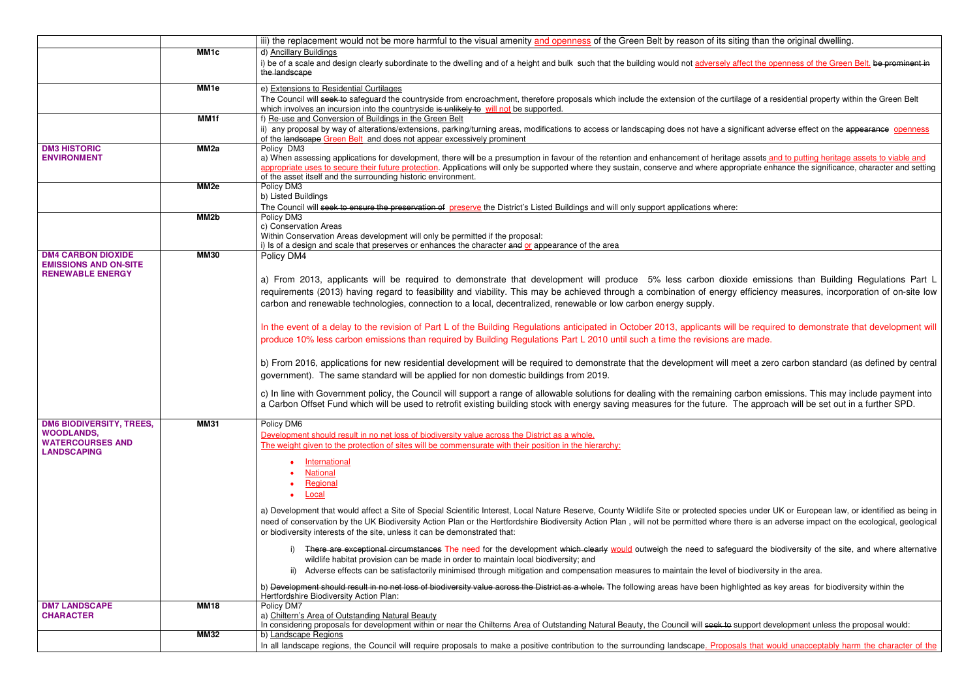|                                                                                                       |                   | iii) the replacement would not be more harmful to the visual amenity and openness of the Green Belt by reason of its siting than the original dwelling.                                                                                                                                                                                                                                                                                                                                                                                                                         |
|-------------------------------------------------------------------------------------------------------|-------------------|---------------------------------------------------------------------------------------------------------------------------------------------------------------------------------------------------------------------------------------------------------------------------------------------------------------------------------------------------------------------------------------------------------------------------------------------------------------------------------------------------------------------------------------------------------------------------------|
|                                                                                                       | MM <sub>1</sub> c | d) Ancillary Buildings<br>i) be of a scale and design clearly subordinate to the dwelling and of a height and bulk such that the building would not adversely affect the openness of the Green Belt. be prominent in<br>the landscape                                                                                                                                                                                                                                                                                                                                           |
|                                                                                                       | MM <sub>1e</sub>  | e) Extensions to Residential Curtilages<br>The Council will seek to safeguard the countryside from encroachment, therefore proposals which include the extension of the curtilage of a residential property within the Green Belt<br>which involves an incursion into the countryside is unlikely to will not be supported.                                                                                                                                                                                                                                                     |
|                                                                                                       | MM1f              | f) Re-use and Conversion of Buildings in the Green Belt<br>ii) any proposal by way of alterations/extensions, parking/turning areas, modifications to access or landscaping does not have a significant adverse effect on the appearance openness                                                                                                                                                                                                                                                                                                                               |
| <b>DM3 HISTORIC</b><br><b>ENVIRONMENT</b>                                                             | MM <sub>2a</sub>  | of the landscape Green Belt and does not appear excessively prominent<br>Policy DM3<br>a) When assessing applications for development, there will be a presumption in favour of the retention and enhancement of heritage assets and to putting heritage assets to viable and<br>appropriate uses to secure their future protection. Applications will only be supported where they sustain, conserve and where appropriate enhance the significance, character and setting                                                                                                     |
|                                                                                                       | MM <sub>2e</sub>  | of the asset itself and the surrounding historic environment.<br>Policy DM3<br>b) Listed Buildings<br>The Council will seek to ensure the preservation of preserve the District's Listed Buildings and will only support applications where:                                                                                                                                                                                                                                                                                                                                    |
|                                                                                                       | MM <sub>2</sub> b | Policy DM3<br>c) Conservation Areas<br>Within Conservation Areas development will only be permitted if the proposal:<br>i) Is of a design and scale that preserves or enhances the character and or appearance of the area                                                                                                                                                                                                                                                                                                                                                      |
| <b>DM4 CARBON DIOXIDE</b><br><b>EMISSIONS AND ON-SITE</b><br><b>RENEWABLE ENERGY</b>                  | <b>MM30</b>       | Policy DM4<br>a) From 2013, applicants will be required to demonstrate that development will produce 5% less carbon dioxide emissions than Building Regulations Part L<br>requirements (2013) having regard to feasibility and viability. This may be achieved through a combination of energy efficiency measures, incorporation of on-site low<br>carbon and renewable technologies, connection to a local, decentralized, renewable or low carbon energy supply.                                                                                                             |
|                                                                                                       |                   | In the event of a delay to the revision of Part L of the Building Regulations anticipated in October 2013, applicants will be required to demonstrate that development will<br>produce 10% less carbon emissions than required by Building Regulations Part L 2010 until such a time the revisions are made.<br>b) From 2016, applications for new residential development will be required to demonstrate that the development will meet a zero carbon standard (as defined by central<br>government). The same standard will be applied for non domestic buildings from 2019. |
|                                                                                                       |                   | c) In line with Government policy, the Council will support a range of allowable solutions for dealing with the remaining carbon emissions. This may include payment into<br>a Carbon Offset Fund which will be used to retrofit existing building stock with energy saving measures for the future. The approach will be set out in a further SPD.                                                                                                                                                                                                                             |
| <b>DM6 BIODIVERSITY, TREES,</b><br><b>WOODLANDS,</b><br><b>WATERCOURSES AND</b><br><b>LANDSCAPING</b> | <b>MM31</b>       | Policy DM6<br>Development should result in no net loss of biodiversity value across the District as a whole.<br>The weight given to the protection of sites will be commensurate with their position in the hierarchy:<br>International<br>$\bullet$<br>National<br>Regional<br>Local<br>$\bullet$                                                                                                                                                                                                                                                                              |
|                                                                                                       |                   | a) Development that would affect a Site of Special Scientific Interest, Local Nature Reserve, County Wildlife Site or protected species under UK or European law, or identified as being in<br>need of conservation by the UK Biodiversity Action Plan or the Hertfordshire Biodiversity Action Plan, will not be permitted where there is an adverse impact on the ecological, geological<br>or biodiversity interests of the site, unless it can be demonstrated that:                                                                                                        |
|                                                                                                       |                   | i) There are exceptional circumstances The need for the development which clearly would outweigh the need to safeguard the biodiversity of the site, and where alternative<br>wildlife habitat provision can be made in order to maintain local biodiversity; and<br>ii) Adverse effects can be satisfactorily minimised through mitigation and compensation measures to maintain the level of biodiversity in the area.                                                                                                                                                        |
|                                                                                                       |                   | b) Development should result in no net loss of biodiversity value across the District as a whole. The following areas have been highlighted as key areas for biodiversity within the<br>Hertfordshire Biodiversity Action Plan:                                                                                                                                                                                                                                                                                                                                                 |
| <b>DM7 LANDSCAPE</b><br><b>CHARACTER</b>                                                              | <b>MM18</b>       | Policy DM7<br>a) Chiltern's Area of Outstanding Natural Beauty<br>In considering proposals for development within or near the Chilterns Area of Outstanding Natural Beauty, the Council will seek to support development unless the proposal would:                                                                                                                                                                                                                                                                                                                             |
|                                                                                                       | <b>MM32</b>       | b) Landscape Regions<br>In all landscape regions, the Council will require proposals to make a positive contribution to the surrounding landscape. Proposals that would unacceptably harm the character of the                                                                                                                                                                                                                                                                                                                                                                  |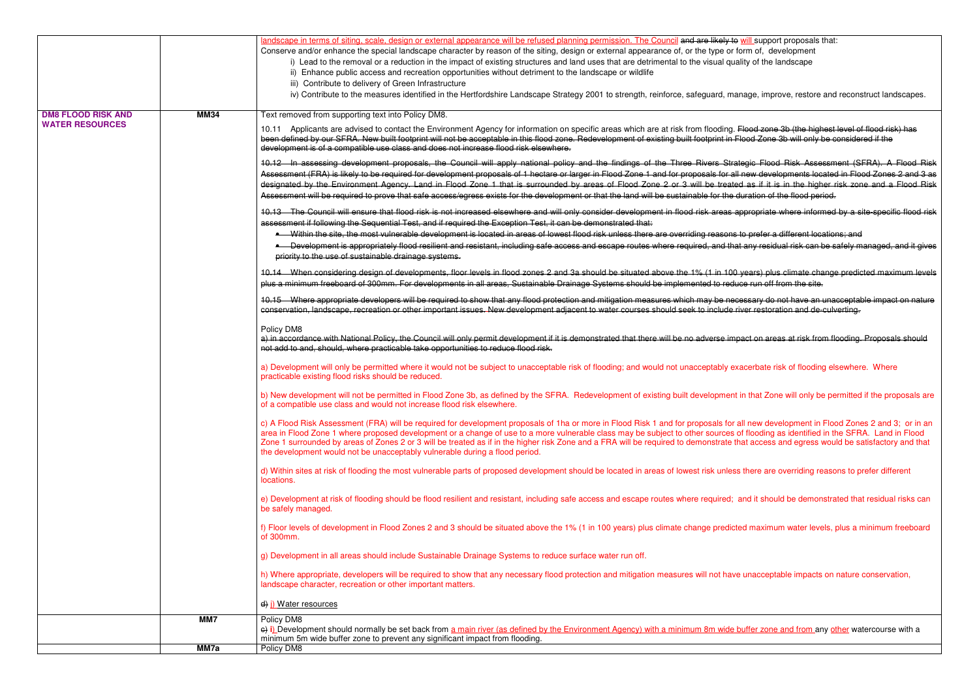|                           |             | landscape in terms of siting, scale, design or external appearance will be refused planning permission. The Council and are likely to will support proposals that:                                                                                                                                                                                                                                                                                                                                                                                                                                                                                     |
|---------------------------|-------------|--------------------------------------------------------------------------------------------------------------------------------------------------------------------------------------------------------------------------------------------------------------------------------------------------------------------------------------------------------------------------------------------------------------------------------------------------------------------------------------------------------------------------------------------------------------------------------------------------------------------------------------------------------|
|                           |             | Conserve and/or enhance the special landscape character by reason of the siting, design or external appearance of, or the type or form of, development                                                                                                                                                                                                                                                                                                                                                                                                                                                                                                 |
|                           |             | i) Lead to the removal or a reduction in the impact of existing structures and land uses that are detrimental to the visual quality of the landscape                                                                                                                                                                                                                                                                                                                                                                                                                                                                                                   |
|                           |             | ii) Enhance public access and recreation opportunities without detriment to the landscape or wildlife                                                                                                                                                                                                                                                                                                                                                                                                                                                                                                                                                  |
|                           |             | iii) Contribute to delivery of Green Infrastructure                                                                                                                                                                                                                                                                                                                                                                                                                                                                                                                                                                                                    |
|                           |             | iv) Contribute to the measures identified in the Hertfordshire Landscape Strategy 2001 to strength, reinforce, safeguard, manage, improve, restore and reconstruct landscapes.                                                                                                                                                                                                                                                                                                                                                                                                                                                                         |
| <b>DM8 FLOOD RISK AND</b> | <b>MM34</b> | Text removed from supporting text into Policy DM8.                                                                                                                                                                                                                                                                                                                                                                                                                                                                                                                                                                                                     |
| <b>WATER RESOURCES</b>    |             | Applicants are advised to contact the Environment Agency for information on specific areas which are at risk from flooding. Flood zone 3b (the highest level of flood risk) has<br>10.11<br>been defined by our SFRA. New built footprint will not be acceptable in this flood zone. Redevelopment of existing built footprint in Flood Zone 3b will only be considered if the<br>development is of a compatible use class and does not increase flood risk elsewhere.                                                                                                                                                                                 |
|                           |             | 10.12 In assessing development proposals, the Council will apply national policy and the findings of the Three Rivers Strategic Flood Risk Assessment (SFRA). A Flood Risk                                                                                                                                                                                                                                                                                                                                                                                                                                                                             |
|                           |             | Assessment (FRA) is likely to be required for development proposals of 1 hectare or larger in Flood Zone 1 and for proposals for all new developments located in Flood Zones 2 and 3 as                                                                                                                                                                                                                                                                                                                                                                                                                                                                |
|                           |             | designated by the Environment Agency. Land in Flood Zone 1 that is surrounded by areas of Flood Zone 2 or 3 will be treated as if it is in the higher risk zone and a Flood Risk<br>Assessment will be required to prove that safe access/egress exists for the development or that the land will be sustainable for the duration of the flood period.                                                                                                                                                                                                                                                                                                 |
|                           |             |                                                                                                                                                                                                                                                                                                                                                                                                                                                                                                                                                                                                                                                        |
|                           |             | 10.13 The Council will ensure that flood risk is not increased elsewhere and will only consider development in flood risk areas appropriate where informed by a site-specific flood risk<br>assessment if following the Sequential Test, and if required the Exception Test, it can be demonstrated that:                                                                                                                                                                                                                                                                                                                                              |
|                           |             | • Within the site, the most vulnerable development is located in areas of lowest flood risk unless there are overriding reasons to prefer a different locations; and                                                                                                                                                                                                                                                                                                                                                                                                                                                                                   |
|                           |             | • Development is appropriately flood resilient and resistant, including safe access and escape routes where required, and that any residual risk can be safely managed, and it gives                                                                                                                                                                                                                                                                                                                                                                                                                                                                   |
|                           |             | priority to the use of sustainable drainage systems.                                                                                                                                                                                                                                                                                                                                                                                                                                                                                                                                                                                                   |
|                           |             | 10.14 When considering design of developments, floor levels in flood zones 2 and 3a should be situated above the 1% (1 in 100 years) plus climate change predicted maximum levels                                                                                                                                                                                                                                                                                                                                                                                                                                                                      |
|                           |             | plus a minimum freeboard of 300mm. For developments in all areas, Sustainable Drainage Systems should be implemented to reduce run off from the site.                                                                                                                                                                                                                                                                                                                                                                                                                                                                                                  |
|                           |             | 10.15 Where appropriate developers will be required to show that any flood protection and mitigation measures which may be necessary do not have an unacceptable impact on nature                                                                                                                                                                                                                                                                                                                                                                                                                                                                      |
|                           |             | conservation, landscape, recreation or other important issues. New development adjacent to water courses should seek to include river restoration and de-culverting.                                                                                                                                                                                                                                                                                                                                                                                                                                                                                   |
|                           |             | Policy DM8                                                                                                                                                                                                                                                                                                                                                                                                                                                                                                                                                                                                                                             |
|                           |             | a) in accordance with National Policy, the Council will only permit development if it is demonstrated that there will be no adverse impact on areas at risk from flooding. Proposals should<br>not add to and, should, where practicable take opportunities to reduce flood risk.                                                                                                                                                                                                                                                                                                                                                                      |
|                           |             | a) Development will only be permitted where it would not be subject to unacceptable risk of flooding; and would not unacceptably exacerbate risk of flooding elsewhere. Where<br>practicable existing flood risks should be reduced.                                                                                                                                                                                                                                                                                                                                                                                                                   |
|                           |             | b) New development will not be permitted in Flood Zone 3b, as defined by the SFRA. Redevelopment of existing built development in that Zone will only be permitted if the proposals are<br>of a compatible use class and would not increase flood risk elsewhere.                                                                                                                                                                                                                                                                                                                                                                                      |
|                           |             | c) A Flood Risk Assessment (FRA) will be required for development proposals of 1ha or more in Flood Risk 1 and for proposals for all new development in Flood Zones 2 and 3; or in an<br>area in Flood Zone 1 where proposed development or a change of use to a more vulnerable class may be subject to other sources of flooding as identified in the SFRA. Land in Flood<br>Zone 1 surrounded by areas of Zones 2 or 3 will be treated as if in the higher risk Zone and a FRA will be required to demonstrate that access and egress would be satisfactory and that<br>the development would not be unacceptably vulnerable during a flood period. |
|                           |             | d) Within sites at risk of flooding the most vulnerable parts of proposed development should be located in areas of lowest risk unless there are overriding reasons to prefer different<br>locations.                                                                                                                                                                                                                                                                                                                                                                                                                                                  |
|                           |             | e) Development at risk of flooding should be flood resilient and resistant, including safe access and escape routes where required; and it should be demonstrated that residual risks can<br>be safely managed.                                                                                                                                                                                                                                                                                                                                                                                                                                        |
|                           |             | f) Floor levels of development in Flood Zones 2 and 3 should be situated above the 1% (1 in 100 years) plus climate change predicted maximum water levels, plus a minimum freeboard<br>of 300mm.                                                                                                                                                                                                                                                                                                                                                                                                                                                       |
|                           |             | g) Development in all areas should include Sustainable Drainage Systems to reduce surface water run off.                                                                                                                                                                                                                                                                                                                                                                                                                                                                                                                                               |
|                           |             | h) Where appropriate, developers will be required to show that any necessary flood protection and mitigation measures will not have unacceptable impacts on nature conservation,<br>landscape character, recreation or other important matters.                                                                                                                                                                                                                                                                                                                                                                                                        |
|                           |             | d) i) Water resources                                                                                                                                                                                                                                                                                                                                                                                                                                                                                                                                                                                                                                  |
|                           | MM7         | Policy DM8                                                                                                                                                                                                                                                                                                                                                                                                                                                                                                                                                                                                                                             |
|                           |             | e) i) Development should normally be set back from a main river (as defined by the Environment Agency) with a minimum 8m wide buffer zone and from any other watercourse with a                                                                                                                                                                                                                                                                                                                                                                                                                                                                        |
|                           | MM7a        | minimum 5m wide buffer zone to prevent any significant impact from flooding.<br>Policy DM8                                                                                                                                                                                                                                                                                                                                                                                                                                                                                                                                                             |
|                           |             |                                                                                                                                                                                                                                                                                                                                                                                                                                                                                                                                                                                                                                                        |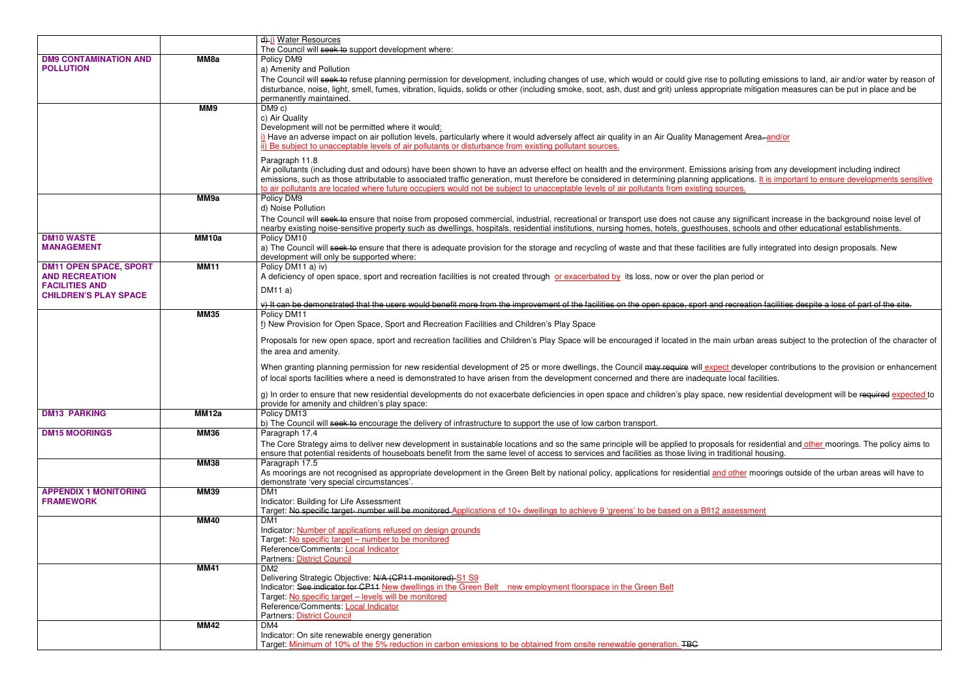|                                                       |              | d) Water Resources                                                                                                                                                                                                                   |
|-------------------------------------------------------|--------------|--------------------------------------------------------------------------------------------------------------------------------------------------------------------------------------------------------------------------------------|
|                                                       | MM8a         | The Council will seek to support development where:<br>Policy DM9                                                                                                                                                                    |
| <b>DM9 CONTAMINATION AND</b><br><b>POLLUTION</b>      |              | a) Amenity and Pollution                                                                                                                                                                                                             |
|                                                       |              | The Council will seek to refuse planning permission for development, including changes of use, which would or could give rise to polluting emissions to land, air and/or water by reason of                                          |
|                                                       |              | disturbance, noise, light, smell, fumes, vibration, liquids, solids or other (including smoke, soot, ash, dust and grit) unless appropriate mitigation measures can be put in place and be                                           |
|                                                       |              | permanently maintained.                                                                                                                                                                                                              |
|                                                       | MM9          | DM9 c)                                                                                                                                                                                                                               |
|                                                       |              | c) Air Quality                                                                                                                                                                                                                       |
|                                                       |              | Development will not be permitted where it would:                                                                                                                                                                                    |
|                                                       |              | i) Have an adverse impact on air pollution levels, particularly where it would adversely affect air quality in an Air Quality Management Area-and/or                                                                                 |
|                                                       |              | ii) Be subject to unacceptable levels of air pollutants or disturbance from existing pollutant sources.                                                                                                                              |
|                                                       |              | Paragraph 11.8                                                                                                                                                                                                                       |
|                                                       |              | Air pollutants (including dust and odours) have been shown to have an adverse effect on health and the environment. Emissions arising from any development including indirect                                                        |
|                                                       |              | emissions, such as those attributable to associated traffic generation, must therefore be considered in determining planning applications. It is important to ensure developments sensitive                                          |
|                                                       | MM9a         | to air pollutants are located where future occupiers would not be subject to unacceptable levels of air pollutants from existing sources.<br>Policy DM9                                                                              |
|                                                       |              | d) Noise Pollution                                                                                                                                                                                                                   |
|                                                       |              | The Council will seek to ensure that noise from proposed commercial, industrial, recreational or transport use does not cause any significant increase in the background noise level of                                              |
|                                                       |              | nearby existing noise-sensitive property such as dwellings, hospitals, residential institutions, nursing homes, hotels, guesthouses, schools and other educational establishments.                                                   |
| <b>DM10 WASTE</b>                                     | MM10a        | Policy DM10                                                                                                                                                                                                                          |
| <b>MANAGEMENT</b>                                     |              | a) The Council will seek to ensure that there is adequate provision for the storage and recycling of waste and that these facilities are fully integrated into design proposals. New                                                 |
|                                                       |              | development will only be supported where:                                                                                                                                                                                            |
| <b>DM11 OPEN SPACE, SPORT</b>                         | <b>MM11</b>  | Policy DM11 a) iv)                                                                                                                                                                                                                   |
| <b>AND RECREATION</b>                                 |              | A deficiency of open space, sport and recreation facilities is not created through or exacerbated by its loss, now or over the plan period or                                                                                        |
| <b>FACILITIES AND</b><br><b>CHILDREN'S PLAY SPACE</b> |              | DM11a)                                                                                                                                                                                                                               |
|                                                       |              | v) It can be demonstrated that the users would benefit more from the improvement of the facilities on the open space, sport and recreation facilities despite a loss of part of the site.                                            |
|                                                       | <b>MM35</b>  | Policy DM11                                                                                                                                                                                                                          |
|                                                       |              | f) New Provision for Open Space, Sport and Recreation Facilities and Children's Play Space                                                                                                                                           |
|                                                       |              |                                                                                                                                                                                                                                      |
|                                                       |              | Proposals for new open space, sport and recreation facilities and Children's Play Space will be encouraged if located in the main urban areas subject to the protection of the character of                                          |
|                                                       |              | the area and amenity.                                                                                                                                                                                                                |
|                                                       |              | When granting planning permission for new residential development of 25 or more dwellings, the Council may require will expect developer contributions to the provision or enhancement                                               |
|                                                       |              | of local sports facilities where a need is demonstrated to have arisen from the development concerned and there are inadequate local facilities.                                                                                     |
|                                                       |              | g) In order to ensure that new residential developments do not exacerbate deficiencies in open space and children's play space, new residential development will be required expected to                                             |
|                                                       |              | provide for amenity and children's play space:                                                                                                                                                                                       |
| <b>DM13 PARKING</b>                                   | <b>MM12a</b> | Policy DM13                                                                                                                                                                                                                          |
|                                                       |              | b) The Council will seek to encourage the delivery of infrastructure to support the use of low carbon transport.                                                                                                                     |
| <b>DM15 MOORINGS</b>                                  | <b>MM36</b>  | Paragraph 17.4                                                                                                                                                                                                                       |
|                                                       |              | The Core Strategy aims to deliver new development in sustainable locations and so the same principle will be applied to proposals for residential and other moorings. The policy aims to                                             |
|                                                       |              | ensure that potential residents of houseboats benefit from the same level of access to services and facilities as those living in traditional housing.                                                                               |
|                                                       | <b>MM38</b>  | Paragraph 17.5                                                                                                                                                                                                                       |
|                                                       |              | As moorings are not recognised as appropriate development in the Green Belt by national policy, applications for residential and other moorings outside of the urban areas will have to<br>demonstrate 'very special circumstances'. |
| <b>APPENDIX 1 MONITORING</b>                          | <b>MM39</b>  | DM <sub>1</sub>                                                                                                                                                                                                                      |
| <b>FRAMEWORK</b>                                      |              | Indicator: Building for Life Assessment                                                                                                                                                                                              |
|                                                       |              | Target: No specific target- number will be monitored Applications of 10+ dwellings to achieve 9 'greens' to be based on a Bfl12 assessment                                                                                           |
|                                                       | <b>MM40</b>  | DM <sub>1</sub>                                                                                                                                                                                                                      |
|                                                       |              | Indicator: Number of applications refused on design grounds                                                                                                                                                                          |
|                                                       |              | Target: No specific target - number to be monitored                                                                                                                                                                                  |
|                                                       |              | Reference/Comments: Local Indicator                                                                                                                                                                                                  |
|                                                       | <b>MM41</b>  | Partners: District Council<br>DM2                                                                                                                                                                                                    |
|                                                       |              | Delivering Strategic Objective: N/A (CP11 monitored) S1 S9                                                                                                                                                                           |
|                                                       |              | Indicator: See indicator for CP11 New dwellings in the Green Belt new employment floorspace in the Green Belt                                                                                                                        |
|                                                       |              | Target: No specific target - levels will be monitored                                                                                                                                                                                |
|                                                       |              | Reference/Comments: Local Indicator                                                                                                                                                                                                  |
|                                                       |              | <b>Partners: District Council</b>                                                                                                                                                                                                    |
|                                                       | <b>MM42</b>  | DM4                                                                                                                                                                                                                                  |
|                                                       |              | Indicator: On site renewable energy generation<br>Target: Minimum of 10% of the 5% reduction in carbon emissions to be obtained from onsite renewable generation. TBC                                                                |
|                                                       |              |                                                                                                                                                                                                                                      |